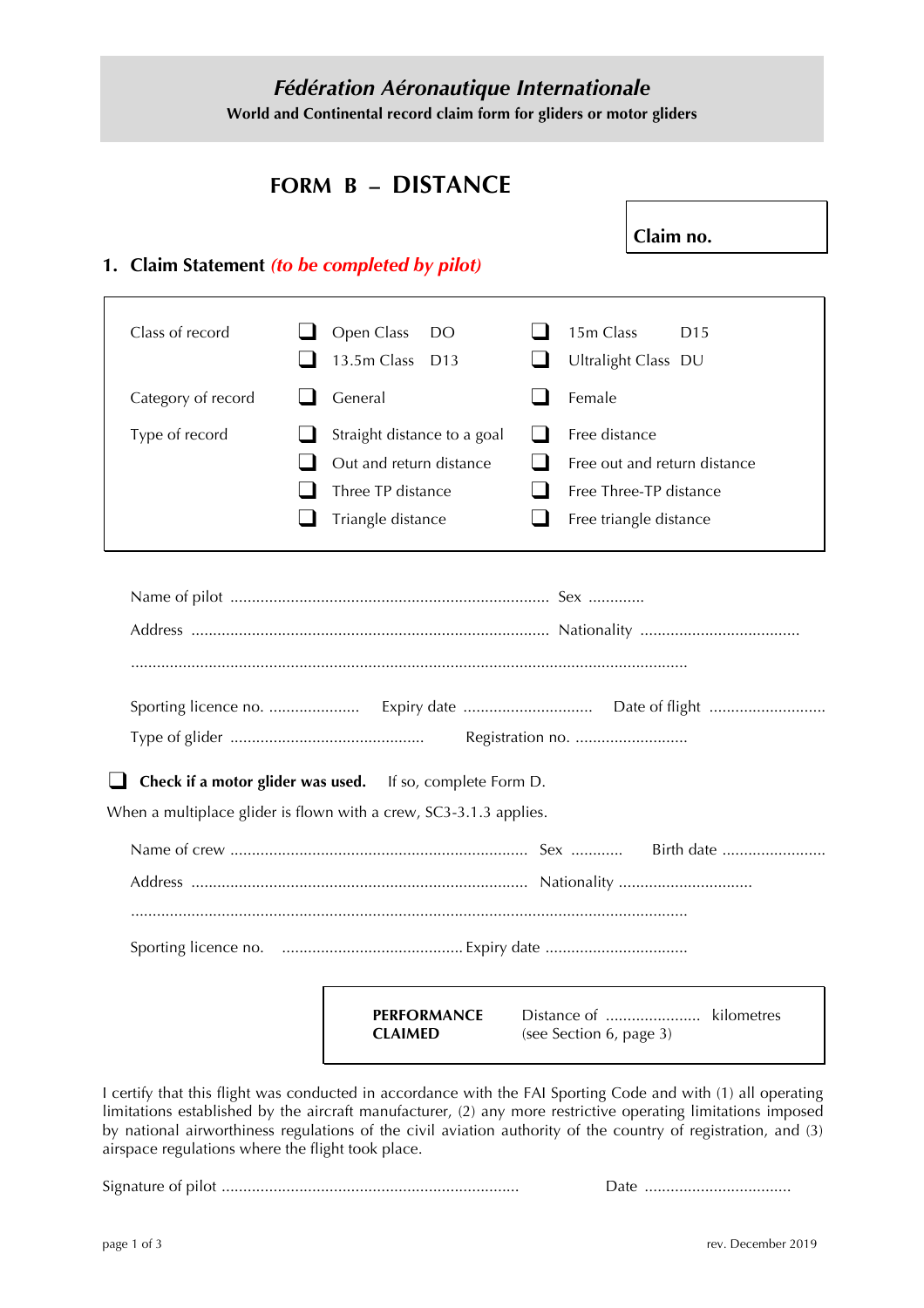## *Fédération Aéronautique Internationale* **World and Continental record claim form for gliders or motor gliders**

## **FORM B – DISTANCE**

**Claim no.**

### **1. Claim Statement** *(to be completed by pilot)*

| 13.5m Class<br>D <sub>13</sub>                                    | Ultralight Class DU                                                                                                                                           |
|-------------------------------------------------------------------|---------------------------------------------------------------------------------------------------------------------------------------------------------------|
| General                                                           | Female                                                                                                                                                        |
| Out and return distance<br>Three TP distance<br>Triangle distance | Free distance<br>$\blacksquare$<br>Free out and return distance<br>Free Three-TP distance<br>Free triangle distance                                           |
|                                                                   |                                                                                                                                                               |
|                                                                   |                                                                                                                                                               |
|                                                                   |                                                                                                                                                               |
|                                                                   |                                                                                                                                                               |
|                                                                   |                                                                                                                                                               |
|                                                                   |                                                                                                                                                               |
|                                                                   |                                                                                                                                                               |
|                                                                   |                                                                                                                                                               |
| <b>PERFORMANCE</b><br><b>CLAIMED</b>                              | (see Section 6, page 3)                                                                                                                                       |
|                                                                   | Straight distance to a goal<br>Check if a motor glider was used. If so, complete Form D.<br>When a multiplace glider is flown with a crew, SC3-3.1.3 applies. |

I certify that this flight was conducted in accordance with the FAI Sporting Code and with (1) all operating limitations established by the aircraft manufacturer, (2) any more restrictive operating limitations imposed by national airworthiness regulations of the civil aviation authority of the country of registration, and (3) airspace regulations where the flight took place.

Signature of pilot ..................................................................... Date ..................................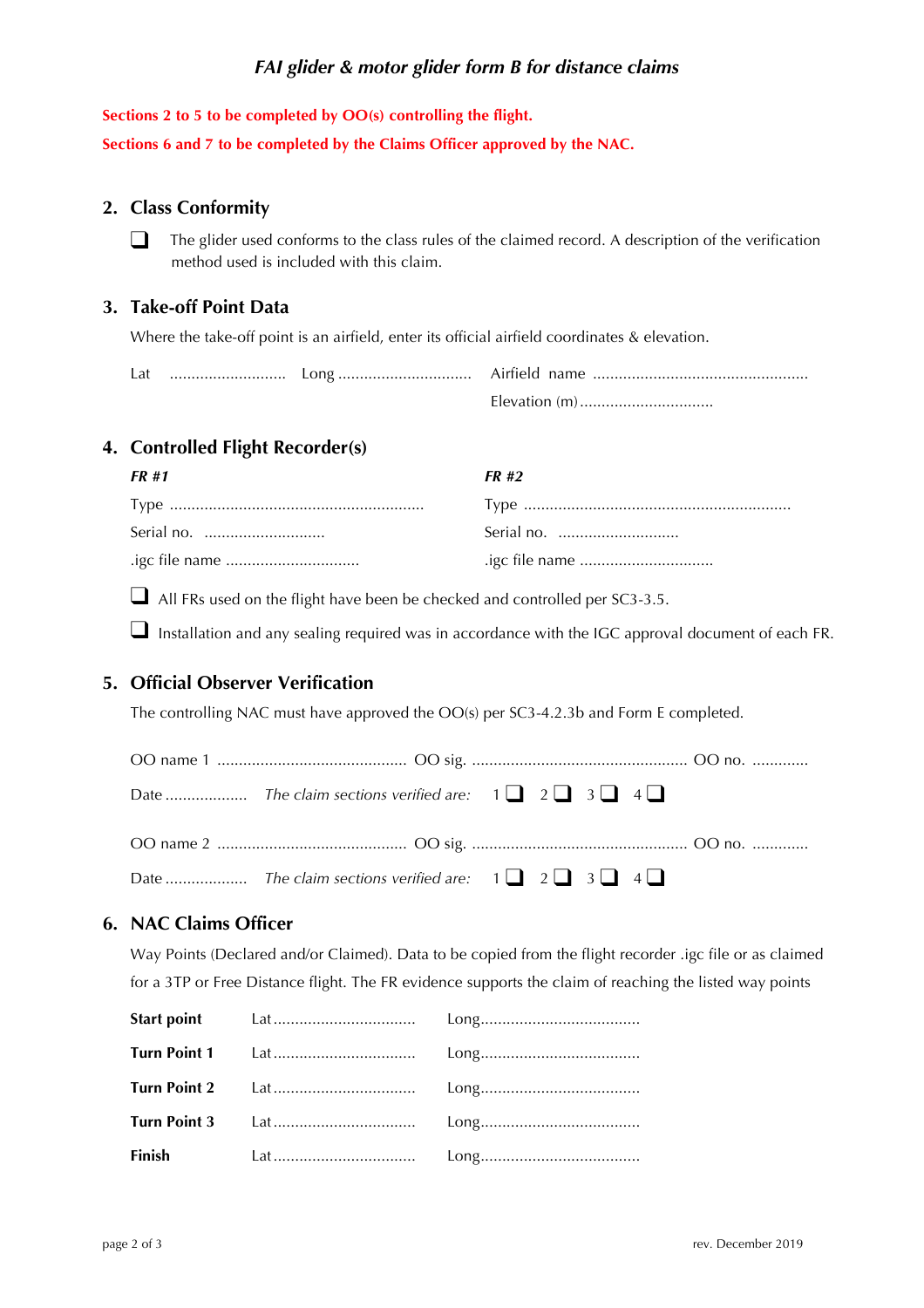### *FAI glider & motor glider form B for distance claims*

#### **Sections 2 to 5 to be completed by OO(s) controlling the flight.**

**Sections 6 and 7 to be completed by the Claims Officer approved by the NAC.**

#### **2. Class Conformity**

❑ The glider used conforms to the class rules of the claimed record. A description of the verification method used is included with this claim.

#### **3. Take-off Point Data**

Where the take-off point is an airfield, enter its official airfield coordinates & elevation.

| Lat |  |               |  |
|-----|--|---------------|--|
|     |  | Elevation (m) |  |

#### **4. Controlled Flight Recorder(s)**

| FR #1                | <b>FR#2</b> |
|----------------------|-------------|
|                      |             |
| Serial no. ……………………… |             |
| .igc file name       |             |

❑ All FRs used on the flight have been be checked and controlled per SC3-3.5.

■ Installation and any sealing required was in accordance with the IGC approval document of each FR.

#### **5. Official Observer Verification**

The controlling NAC must have approved the OO(s) per SC3-4.2.3b and Form E completed.

#### **6. NAC Claims Officer**

Way Points (Declared and/or Claimed). Data to be copied from the flight recorder .igc file or as claimed for a 3TP or Free Distance flight. The FR evidence supports the claim of reaching the listed way points